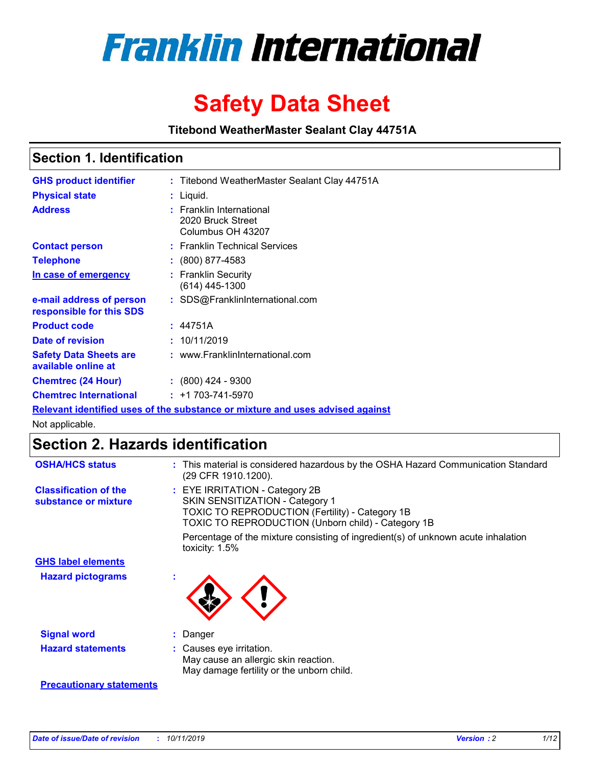

# **Safety Data Sheet**

**Titebond WeatherMaster Sealant Clay 44751A**

### **Section 1. Identification**

| <b>GHS product identifier</b>                        | : Titebond WeatherMaster Sealant Clay 44751A                                  |
|------------------------------------------------------|-------------------------------------------------------------------------------|
| <b>Physical state</b>                                | : Liquid.                                                                     |
| <b>Address</b>                                       | : Franklin International<br>2020 Bruck Street<br>Columbus OH 43207            |
| <b>Contact person</b>                                | : Franklin Technical Services                                                 |
| <b>Telephone</b>                                     | $\colon$ (800) 877-4583                                                       |
| In case of emergency                                 | : Franklin Security<br>(614) 445-1300                                         |
| e-mail address of person<br>responsible for this SDS | : SDS@FranklinInternational.com                                               |
| <b>Product code</b>                                  | : 44751A                                                                      |
| Date of revision                                     | : 10/11/2019                                                                  |
| <b>Safety Data Sheets are</b><br>available online at | : www.FranklinInternational.com                                               |
| <b>Chemtrec (24 Hour)</b>                            | $: (800)$ 424 - 9300                                                          |
| <b>Chemtrec International</b>                        | $: +1703 - 741 - 5970$                                                        |
|                                                      | Relevant identified uses of the substance or mixture and uses advised against |

Not applicable.

## **Section 2. Hazards identification**

| <b>OSHA/HCS status</b>                               | : This material is considered hazardous by the OSHA Hazard Communication Standard<br>(29 CFR 1910.1200).                                                                                 |
|------------------------------------------------------|------------------------------------------------------------------------------------------------------------------------------------------------------------------------------------------|
| <b>Classification of the</b><br>substance or mixture | : EYE IRRITATION - Category 2B<br>SKIN SENSITIZATION - Category 1<br><b>TOXIC TO REPRODUCTION (Fertility) - Category 1B</b><br><b>TOXIC TO REPRODUCTION (Unborn child) - Category 1B</b> |
|                                                      | Percentage of the mixture consisting of ingredient(s) of unknown acute inhalation<br>toxicity: $1.5\%$                                                                                   |
| <b>GHS label elements</b>                            |                                                                                                                                                                                          |
| <b>Hazard pictograms</b>                             |                                                                                                                                                                                          |
| <b>Signal word</b>                                   | : Danger                                                                                                                                                                                 |
| <b>Hazard statements</b>                             | : Causes eye irritation.<br>May cause an allergic skin reaction.<br>May damage fertility or the unborn child.                                                                            |
| <b>Precautionary statements</b>                      |                                                                                                                                                                                          |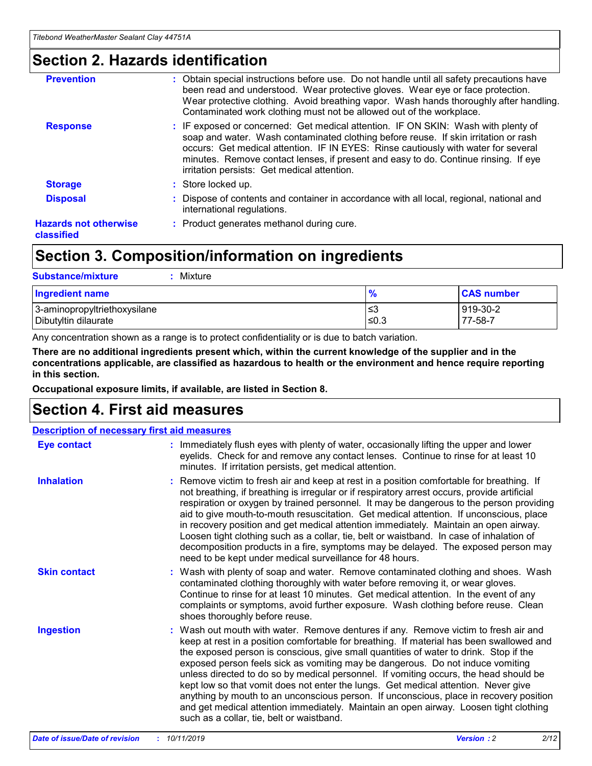### **Section 2. Hazards identification**

| <b>Prevention</b>                          | : Obtain special instructions before use. Do not handle until all safety precautions have<br>been read and understood. Wear protective gloves. Wear eye or face protection.<br>Wear protective clothing. Avoid breathing vapor. Wash hands thoroughly after handling.<br>Contaminated work clothing must not be allowed out of the workplace.                                                        |
|--------------------------------------------|------------------------------------------------------------------------------------------------------------------------------------------------------------------------------------------------------------------------------------------------------------------------------------------------------------------------------------------------------------------------------------------------------|
| <b>Response</b>                            | : IF exposed or concerned: Get medical attention. IF ON SKIN: Wash with plenty of<br>soap and water. Wash contaminated clothing before reuse. If skin irritation or rash<br>occurs: Get medical attention. IF IN EYES: Rinse cautiously with water for several<br>minutes. Remove contact lenses, if present and easy to do. Continue rinsing. If eye<br>irritation persists: Get medical attention. |
| <b>Storage</b>                             | : Store locked up.                                                                                                                                                                                                                                                                                                                                                                                   |
| <b>Disposal</b>                            | : Dispose of contents and container in accordance with all local, regional, national and<br>international regulations.                                                                                                                                                                                                                                                                               |
| <b>Hazards not otherwise</b><br>classified | : Product generates methanol during cure.                                                                                                                                                                                                                                                                                                                                                            |
|                                            |                                                                                                                                                                                                                                                                                                                                                                                                      |

### **Section 3. Composition/information on ingredients**

| <b>Substance/mixture</b><br>: Mixture                |               |                     |
|------------------------------------------------------|---------------|---------------------|
| Ingredient name                                      | $\frac{9}{6}$ | <b>CAS number</b>   |
| 3-aminopropyltriethoxysilane<br>Dibutyltin dilaurate | צ≥<br>≤0.3    | 919-30-2<br>77-58-7 |

Any concentration shown as a range is to protect confidentiality or is due to batch variation.

**There are no additional ingredients present which, within the current knowledge of the supplier and in the concentrations applicable, are classified as hazardous to health or the environment and hence require reporting in this section.**

**Occupational exposure limits, if available, are listed in Section 8.**

### **Section 4. First aid measures**

| <b>Description of necessary first aid measures</b> |                                                                                                                                                                                                                                                                                                                                                                                                                                                                                                                                                                                                                                                                                                                                                                           |  |  |  |
|----------------------------------------------------|---------------------------------------------------------------------------------------------------------------------------------------------------------------------------------------------------------------------------------------------------------------------------------------------------------------------------------------------------------------------------------------------------------------------------------------------------------------------------------------------------------------------------------------------------------------------------------------------------------------------------------------------------------------------------------------------------------------------------------------------------------------------------|--|--|--|
| <b>Eye contact</b>                                 | : Immediately flush eyes with plenty of water, occasionally lifting the upper and lower<br>eyelids. Check for and remove any contact lenses. Continue to rinse for at least 10<br>minutes. If irritation persists, get medical attention.                                                                                                                                                                                                                                                                                                                                                                                                                                                                                                                                 |  |  |  |
| <b>Inhalation</b>                                  | : Remove victim to fresh air and keep at rest in a position comfortable for breathing. If<br>not breathing, if breathing is irregular or if respiratory arrest occurs, provide artificial<br>respiration or oxygen by trained personnel. It may be dangerous to the person providing<br>aid to give mouth-to-mouth resuscitation. Get medical attention. If unconscious, place<br>in recovery position and get medical attention immediately. Maintain an open airway.<br>Loosen tight clothing such as a collar, tie, belt or waistband. In case of inhalation of<br>decomposition products in a fire, symptoms may be delayed. The exposed person may<br>need to be kept under medical surveillance for 48 hours.                                                       |  |  |  |
| <b>Skin contact</b>                                | : Wash with plenty of soap and water. Remove contaminated clothing and shoes. Wash<br>contaminated clothing thoroughly with water before removing it, or wear gloves.<br>Continue to rinse for at least 10 minutes. Get medical attention. In the event of any<br>complaints or symptoms, avoid further exposure. Wash clothing before reuse. Clean<br>shoes thoroughly before reuse.                                                                                                                                                                                                                                                                                                                                                                                     |  |  |  |
| <b>Ingestion</b>                                   | : Wash out mouth with water. Remove dentures if any. Remove victim to fresh air and<br>keep at rest in a position comfortable for breathing. If material has been swallowed and<br>the exposed person is conscious, give small quantities of water to drink. Stop if the<br>exposed person feels sick as vomiting may be dangerous. Do not induce vomiting<br>unless directed to do so by medical personnel. If vomiting occurs, the head should be<br>kept low so that vomit does not enter the lungs. Get medical attention. Never give<br>anything by mouth to an unconscious person. If unconscious, place in recovery position<br>and get medical attention immediately. Maintain an open airway. Loosen tight clothing<br>such as a collar, tie, belt or waistband. |  |  |  |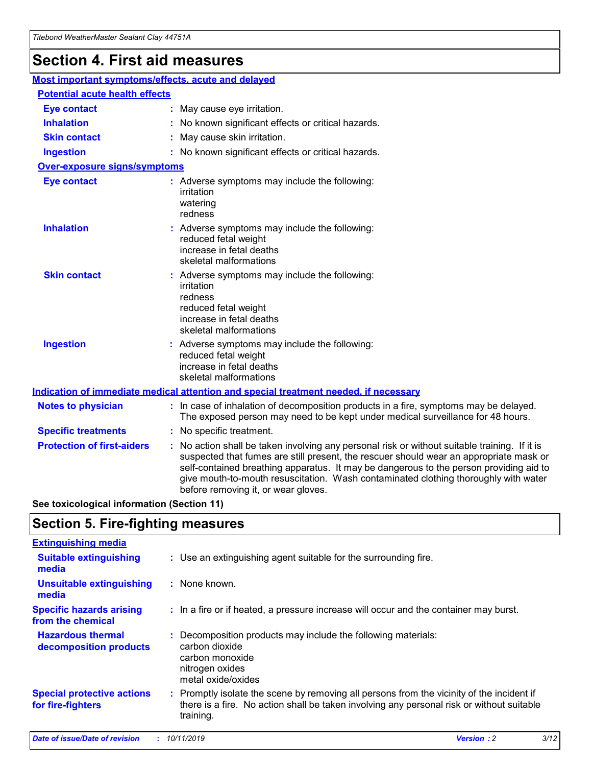## **Section 4. First aid measures**

| Most important symptoms/effects, acute and delayed |                                       |                                                                                                                                                                                                                                                                                                                                                                                                                 |  |  |  |
|----------------------------------------------------|---------------------------------------|-----------------------------------------------------------------------------------------------------------------------------------------------------------------------------------------------------------------------------------------------------------------------------------------------------------------------------------------------------------------------------------------------------------------|--|--|--|
|                                                    | <b>Potential acute health effects</b> |                                                                                                                                                                                                                                                                                                                                                                                                                 |  |  |  |
| <b>Eye contact</b>                                 |                                       | : May cause eye irritation.                                                                                                                                                                                                                                                                                                                                                                                     |  |  |  |
| <b>Inhalation</b>                                  |                                       | : No known significant effects or critical hazards.                                                                                                                                                                                                                                                                                                                                                             |  |  |  |
| <b>Skin contact</b>                                |                                       | : May cause skin irritation.                                                                                                                                                                                                                                                                                                                                                                                    |  |  |  |
| <b>Ingestion</b>                                   |                                       | : No known significant effects or critical hazards.                                                                                                                                                                                                                                                                                                                                                             |  |  |  |
| <b>Over-exposure signs/symptoms</b>                |                                       |                                                                                                                                                                                                                                                                                                                                                                                                                 |  |  |  |
| <b>Eye contact</b>                                 |                                       | : Adverse symptoms may include the following:<br>irritation<br>watering<br>redness                                                                                                                                                                                                                                                                                                                              |  |  |  |
| <b>Inhalation</b>                                  |                                       | : Adverse symptoms may include the following:<br>reduced fetal weight<br>increase in fetal deaths<br>skeletal malformations                                                                                                                                                                                                                                                                                     |  |  |  |
| <b>Skin contact</b>                                |                                       | : Adverse symptoms may include the following:<br>irritation<br>redness<br>reduced fetal weight<br>increase in fetal deaths<br>skeletal malformations                                                                                                                                                                                                                                                            |  |  |  |
| <b>Ingestion</b>                                   |                                       | : Adverse symptoms may include the following:<br>reduced fetal weight<br>increase in fetal deaths<br>skeletal malformations                                                                                                                                                                                                                                                                                     |  |  |  |
|                                                    |                                       | <b>Indication of immediate medical attention and special treatment needed, if necessary</b>                                                                                                                                                                                                                                                                                                                     |  |  |  |
| <b>Notes to physician</b>                          |                                       | : In case of inhalation of decomposition products in a fire, symptoms may be delayed.<br>The exposed person may need to be kept under medical surveillance for 48 hours.                                                                                                                                                                                                                                        |  |  |  |
| <b>Specific treatments</b>                         |                                       | : No specific treatment.                                                                                                                                                                                                                                                                                                                                                                                        |  |  |  |
| <b>Protection of first-aiders</b>                  |                                       | : No action shall be taken involving any personal risk or without suitable training. If it is<br>suspected that fumes are still present, the rescuer should wear an appropriate mask or<br>self-contained breathing apparatus. It may be dangerous to the person providing aid to<br>give mouth-to-mouth resuscitation. Wash contaminated clothing thoroughly with water<br>before removing it, or wear gloves. |  |  |  |

**See toxicological information (Section 11)**

### **Section 5. Fire-fighting measures**

| <b>Extinguishing media</b>                             |                                                                                                                                                                                                     |
|--------------------------------------------------------|-----------------------------------------------------------------------------------------------------------------------------------------------------------------------------------------------------|
| <b>Suitable extinguishing</b><br>media                 | : Use an extinguishing agent suitable for the surrounding fire.                                                                                                                                     |
| <b>Unsuitable extinguishing</b><br>media               | : None known.                                                                                                                                                                                       |
| <b>Specific hazards arising</b><br>from the chemical   | : In a fire or if heated, a pressure increase will occur and the container may burst.                                                                                                               |
| <b>Hazardous thermal</b><br>decomposition products     | : Decomposition products may include the following materials:<br>carbon dioxide<br>carbon monoxide<br>nitrogen oxides<br>metal oxide/oxides                                                         |
| <b>Special protective actions</b><br>for fire-fighters | : Promptly isolate the scene by removing all persons from the vicinity of the incident if<br>there is a fire. No action shall be taken involving any personal risk or without suitable<br>training. |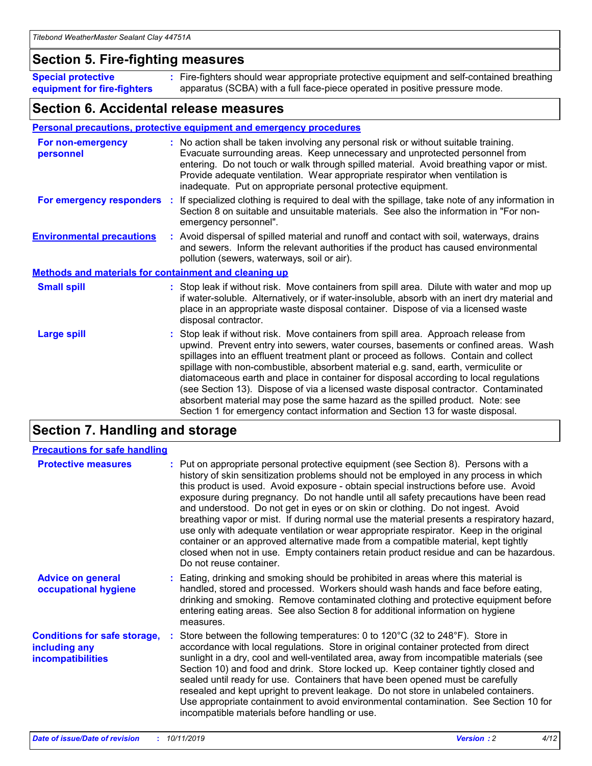### **Section 5. Fire-fighting measures**

**Special protective equipment for fire-fighters** Fire-fighters should wear appropriate protective equipment and self-contained breathing **:** apparatus (SCBA) with a full face-piece operated in positive pressure mode.

### **Section 6. Accidental release measures**

#### **Personal precautions, protective equipment and emergency procedures**

| For non-emergency<br>personnel                               | : No action shall be taken involving any personal risk or without suitable training.<br>Evacuate surrounding areas. Keep unnecessary and unprotected personnel from<br>entering. Do not touch or walk through spilled material. Avoid breathing vapor or mist.<br>Provide adequate ventilation. Wear appropriate respirator when ventilation is<br>inadequate. Put on appropriate personal protective equipment.                                                                                                                                                                                                                                                                                             |
|--------------------------------------------------------------|--------------------------------------------------------------------------------------------------------------------------------------------------------------------------------------------------------------------------------------------------------------------------------------------------------------------------------------------------------------------------------------------------------------------------------------------------------------------------------------------------------------------------------------------------------------------------------------------------------------------------------------------------------------------------------------------------------------|
|                                                              | For emergency responders : If specialized clothing is required to deal with the spillage, take note of any information in<br>Section 8 on suitable and unsuitable materials. See also the information in "For non-<br>emergency personnel".                                                                                                                                                                                                                                                                                                                                                                                                                                                                  |
| <b>Environmental precautions</b>                             | : Avoid dispersal of spilled material and runoff and contact with soil, waterways, drains<br>and sewers. Inform the relevant authorities if the product has caused environmental<br>pollution (sewers, waterways, soil or air).                                                                                                                                                                                                                                                                                                                                                                                                                                                                              |
| <b>Methods and materials for containment and cleaning up</b> |                                                                                                                                                                                                                                                                                                                                                                                                                                                                                                                                                                                                                                                                                                              |
| <b>Small spill</b>                                           | : Stop leak if without risk. Move containers from spill area. Dilute with water and mop up<br>if water-soluble. Alternatively, or if water-insoluble, absorb with an inert dry material and<br>place in an appropriate waste disposal container. Dispose of via a licensed waste<br>disposal contractor.                                                                                                                                                                                                                                                                                                                                                                                                     |
| <b>Large spill</b>                                           | : Stop leak if without risk. Move containers from spill area. Approach release from<br>upwind. Prevent entry into sewers, water courses, basements or confined areas. Wash<br>spillages into an effluent treatment plant or proceed as follows. Contain and collect<br>spillage with non-combustible, absorbent material e.g. sand, earth, vermiculite or<br>diatomaceous earth and place in container for disposal according to local regulations<br>(see Section 13). Dispose of via a licensed waste disposal contractor. Contaminated<br>absorbent material may pose the same hazard as the spilled product. Note: see<br>Section 1 for emergency contact information and Section 13 for waste disposal. |

### **Section 7. Handling and storage**

| <b>Precautions for safe handling</b>                                             |                                                                                                                                                                                                                                                                                                                                                                                                                                                                                                                                                                                                                                                                                                                                                                                                                                                  |
|----------------------------------------------------------------------------------|--------------------------------------------------------------------------------------------------------------------------------------------------------------------------------------------------------------------------------------------------------------------------------------------------------------------------------------------------------------------------------------------------------------------------------------------------------------------------------------------------------------------------------------------------------------------------------------------------------------------------------------------------------------------------------------------------------------------------------------------------------------------------------------------------------------------------------------------------|
| <b>Protective measures</b>                                                       | : Put on appropriate personal protective equipment (see Section 8). Persons with a<br>history of skin sensitization problems should not be employed in any process in which<br>this product is used. Avoid exposure - obtain special instructions before use. Avoid<br>exposure during pregnancy. Do not handle until all safety precautions have been read<br>and understood. Do not get in eyes or on skin or clothing. Do not ingest. Avoid<br>breathing vapor or mist. If during normal use the material presents a respiratory hazard,<br>use only with adequate ventilation or wear appropriate respirator. Keep in the original<br>container or an approved alternative made from a compatible material, kept tightly<br>closed when not in use. Empty containers retain product residue and can be hazardous.<br>Do not reuse container. |
| <b>Advice on general</b><br>occupational hygiene                                 | : Eating, drinking and smoking should be prohibited in areas where this material is<br>handled, stored and processed. Workers should wash hands and face before eating,<br>drinking and smoking. Remove contaminated clothing and protective equipment before<br>entering eating areas. See also Section 8 for additional information on hygiene<br>measures.                                                                                                                                                                                                                                                                                                                                                                                                                                                                                    |
| <b>Conditions for safe storage,</b><br>including any<br><b>incompatibilities</b> | Store between the following temperatures: 0 to $120^{\circ}$ C (32 to $248^{\circ}$ F). Store in<br>accordance with local regulations. Store in original container protected from direct<br>sunlight in a dry, cool and well-ventilated area, away from incompatible materials (see<br>Section 10) and food and drink. Store locked up. Keep container tightly closed and<br>sealed until ready for use. Containers that have been opened must be carefully<br>resealed and kept upright to prevent leakage. Do not store in unlabeled containers.<br>Use appropriate containment to avoid environmental contamination. See Section 10 for<br>incompatible materials before handling or use.                                                                                                                                                     |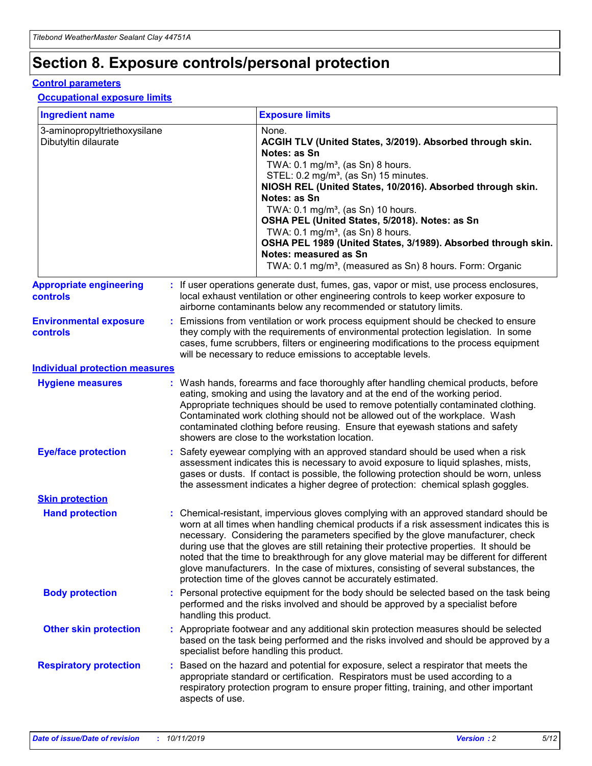## **Section 8. Exposure controls/personal protection**

#### **Control parameters**

#### **Occupational exposure limits**

| <b>Ingredient name</b>                               |    |                                          | <b>Exposure limits</b>                                                                                                                                                                                                                                                                                                                                                                                                                                                                                                                                                                                                 |
|------------------------------------------------------|----|------------------------------------------|------------------------------------------------------------------------------------------------------------------------------------------------------------------------------------------------------------------------------------------------------------------------------------------------------------------------------------------------------------------------------------------------------------------------------------------------------------------------------------------------------------------------------------------------------------------------------------------------------------------------|
| 3-aminopropyltriethoxysilane<br>Dibutyltin dilaurate |    |                                          | None.<br>ACGIH TLV (United States, 3/2019). Absorbed through skin.<br>Notes: as Sn<br>TWA: 0.1 mg/m <sup>3</sup> , (as Sn) 8 hours.<br>STEL: 0.2 mg/m <sup>3</sup> , (as Sn) 15 minutes.<br>NIOSH REL (United States, 10/2016). Absorbed through skin.<br>Notes: as Sn<br>TWA: 0.1 mg/m <sup>3</sup> , (as Sn) 10 hours.<br>OSHA PEL (United States, 5/2018). Notes: as Sn<br>TWA: $0.1 \text{ mg/m}^3$ , (as Sn) 8 hours.<br>OSHA PEL 1989 (United States, 3/1989). Absorbed through skin.<br>Notes: measured as Sn<br>TWA: 0.1 mg/m <sup>3</sup> , (measured as Sn) 8 hours. Form: Organic                           |
| <b>Appropriate engineering</b><br>controls           |    |                                          | : If user operations generate dust, fumes, gas, vapor or mist, use process enclosures,<br>local exhaust ventilation or other engineering controls to keep worker exposure to<br>airborne contaminants below any recommended or statutory limits.                                                                                                                                                                                                                                                                                                                                                                       |
| <b>Environmental exposure</b><br><b>controls</b>     |    |                                          | Emissions from ventilation or work process equipment should be checked to ensure<br>they comply with the requirements of environmental protection legislation. In some<br>cases, fume scrubbers, filters or engineering modifications to the process equipment<br>will be necessary to reduce emissions to acceptable levels.                                                                                                                                                                                                                                                                                          |
| <b>Individual protection measures</b>                |    |                                          |                                                                                                                                                                                                                                                                                                                                                                                                                                                                                                                                                                                                                        |
| <b>Hygiene measures</b>                              |    |                                          | : Wash hands, forearms and face thoroughly after handling chemical products, before<br>eating, smoking and using the lavatory and at the end of the working period.<br>Appropriate techniques should be used to remove potentially contaminated clothing.<br>Contaminated work clothing should not be allowed out of the workplace. Wash<br>contaminated clothing before reusing. Ensure that eyewash stations and safety<br>showers are close to the workstation location.                                                                                                                                            |
| <b>Eye/face protection</b>                           |    |                                          | : Safety eyewear complying with an approved standard should be used when a risk<br>assessment indicates this is necessary to avoid exposure to liquid splashes, mists,<br>gases or dusts. If contact is possible, the following protection should be worn, unless<br>the assessment indicates a higher degree of protection: chemical splash goggles.                                                                                                                                                                                                                                                                  |
| <b>Skin protection</b>                               |    |                                          |                                                                                                                                                                                                                                                                                                                                                                                                                                                                                                                                                                                                                        |
| <b>Hand protection</b>                               |    |                                          | : Chemical-resistant, impervious gloves complying with an approved standard should be<br>worn at all times when handling chemical products if a risk assessment indicates this is<br>necessary. Considering the parameters specified by the glove manufacturer, check<br>during use that the gloves are still retaining their protective properties. It should be<br>noted that the time to breakthrough for any glove material may be different for different<br>glove manufacturers. In the case of mixtures, consisting of several substances, the<br>protection time of the gloves cannot be accurately estimated. |
| <b>Body protection</b>                               |    | handling this product.                   | Personal protective equipment for the body should be selected based on the task being<br>performed and the risks involved and should be approved by a specialist before                                                                                                                                                                                                                                                                                                                                                                                                                                                |
| <b>Other skin protection</b>                         |    | specialist before handling this product. | : Appropriate footwear and any additional skin protection measures should be selected<br>based on the task being performed and the risks involved and should be approved by a                                                                                                                                                                                                                                                                                                                                                                                                                                          |
| <b>Respiratory protection</b>                        | ÷. | aspects of use.                          | Based on the hazard and potential for exposure, select a respirator that meets the<br>appropriate standard or certification. Respirators must be used according to a<br>respiratory protection program to ensure proper fitting, training, and other important                                                                                                                                                                                                                                                                                                                                                         |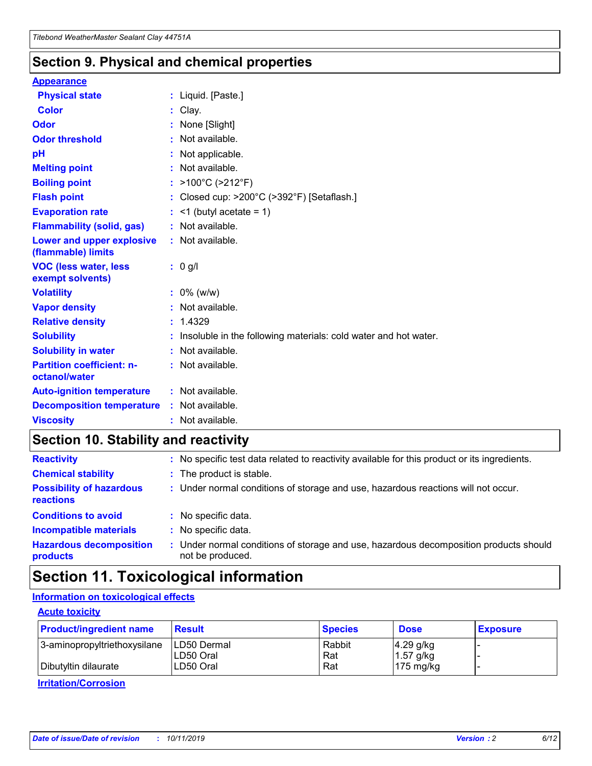### **Section 9. Physical and chemical properties**

#### **Appearance**

| <b>Physical state</b>                             | : Liquid. [Paste.]                                              |
|---------------------------------------------------|-----------------------------------------------------------------|
| <b>Color</b>                                      | Clay.                                                           |
| Odor                                              | : None [Slight]                                                 |
| <b>Odor threshold</b>                             | : Not available.                                                |
| рH                                                | : Not applicable.                                               |
| <b>Melting point</b>                              | : Not available.                                                |
| <b>Boiling point</b>                              | : >100°C (>212°F)                                               |
| <b>Flash point</b>                                | : Closed cup: >200°C (>392°F) [Setaflash.]                      |
| <b>Evaporation rate</b>                           | $:$ <1 (butyl acetate = 1)                                      |
| <b>Flammability (solid, gas)</b>                  | : Not available.                                                |
| Lower and upper explosive<br>(flammable) limits   | : Not available.                                                |
| <b>VOC (less water, less</b><br>exempt solvents)  | : 0 g/l                                                         |
| <b>Volatility</b>                                 | $: 0\%$ (w/w)                                                   |
| <b>Vapor density</b>                              | : Not available.                                                |
| <b>Relative density</b>                           | : 1.4329                                                        |
| <b>Solubility</b>                                 | Insoluble in the following materials: cold water and hot water. |
| <b>Solubility in water</b>                        | : Not available.                                                |
| <b>Partition coefficient: n-</b><br>octanol/water | $:$ Not available.                                              |
| <b>Auto-ignition temperature</b>                  | : Not available.                                                |
| <b>Decomposition temperature</b>                  | : Not available.                                                |
| <b>Viscosity</b>                                  |                                                                 |

### **Section 10. Stability and reactivity**

| <b>Reactivity</b>                            |    | : No specific test data related to reactivity available for this product or its ingredients.            |
|----------------------------------------------|----|---------------------------------------------------------------------------------------------------------|
| <b>Chemical stability</b>                    |    | : The product is stable.                                                                                |
| <b>Possibility of hazardous</b><br>reactions |    | : Under normal conditions of storage and use, hazardous reactions will not occur.                       |
| <b>Conditions to avoid</b>                   |    | : No specific data.                                                                                     |
| <b>Incompatible materials</b>                | ٠. | No specific data.                                                                                       |
| <b>Hazardous decomposition</b><br>products   | ÷. | Under normal conditions of storage and use, hazardous decomposition products should<br>not be produced. |

### **Section 11. Toxicological information**

### **Information on toxicological effects**

#### **Acute toxicity**

| <b>Product/ingredient name</b> | <b>Result</b>           | <b>Species</b> | <b>Dose</b>                | <b>Exposure</b> |
|--------------------------------|-------------------------|----------------|----------------------------|-----------------|
| 3-aminopropyltriethoxysilane   | <b>ILD50 Dermal</b>     | Rabbit         | 4.29 g/kg                  |                 |
| Dibutyltin dilaurate           | ILD50 Oral<br>LD50 Oral | Rat<br>Rat     | $1.57$ g/kg<br>175 $mg/kg$ |                 |
|                                |                         |                |                            |                 |

**Irritation/Corrosion**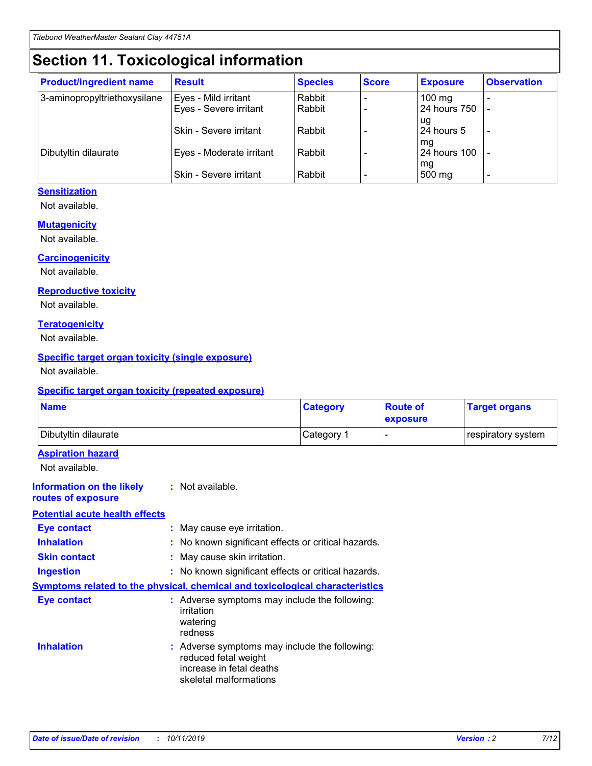## **Section 11. Toxicological information**

| <b>Product/ingredient name</b> | <b>Result</b>            | <b>Species</b> | <b>Score</b> | <b>Exposure</b>           | <b>Observation</b> |
|--------------------------------|--------------------------|----------------|--------------|---------------------------|--------------------|
| 3-aminopropyltriethoxysilane   | Eyes - Mild irritant     | Rabbit         |              | $100$ mg                  |                    |
|                                | Eyes - Severe irritant   | Rabbit         |              | 24 hours 750              |                    |
|                                |                          |                |              | ug                        |                    |
|                                | Skin - Severe irritant   | Rabbit         |              | 24 hours 5                | -                  |
| Dibutyltin dilaurate           | Eyes - Moderate irritant | Rabbit         |              | mq<br><b>24 hours 100</b> |                    |
|                                |                          |                |              | mg                        |                    |
|                                | Skin - Severe irritant   | Rabbit         |              | 500 mg                    |                    |

#### **Sensitization**

Not available.

#### **Mutagenicity**

Not available.

#### **Carcinogenicity**

Not available.

#### **Reproductive toxicity**

Not available.

#### **Teratogenicity**

Not available.

#### **Specific target organ toxicity (single exposure)**

Not available.

#### **Specific target organ toxicity (repeated exposure)**

| <b>Name</b>                                                                  |                                                                                                                             | <b>Category</b> | <b>Route of</b><br>exposure | <b>Target organs</b> |
|------------------------------------------------------------------------------|-----------------------------------------------------------------------------------------------------------------------------|-----------------|-----------------------------|----------------------|
| Dibutyltin dilaurate                                                         |                                                                                                                             | Category 1      |                             | respiratory system   |
| <b>Aspiration hazard</b><br>Not available.                                   |                                                                                                                             |                 |                             |                      |
| <b>Information on the likely</b><br>routes of exposure                       | : Not available.                                                                                                            |                 |                             |                      |
| <b>Potential acute health effects</b>                                        |                                                                                                                             |                 |                             |                      |
| <b>Eye contact</b>                                                           | : May cause eye irritation.                                                                                                 |                 |                             |                      |
| <b>Inhalation</b>                                                            | : No known significant effects or critical hazards.                                                                         |                 |                             |                      |
| <b>Skin contact</b>                                                          | : May cause skin irritation.                                                                                                |                 |                             |                      |
| <b>Ingestion</b>                                                             | : No known significant effects or critical hazards.                                                                         |                 |                             |                      |
| Symptoms related to the physical, chemical and toxicological characteristics |                                                                                                                             |                 |                             |                      |
| <b>Eye contact</b>                                                           | : Adverse symptoms may include the following:<br>irritation<br>watering<br>redness                                          |                 |                             |                      |
| <b>Inhalation</b>                                                            | : Adverse symptoms may include the following:<br>reduced fetal weight<br>increase in fetal deaths<br>skeletal malformations |                 |                             |                      |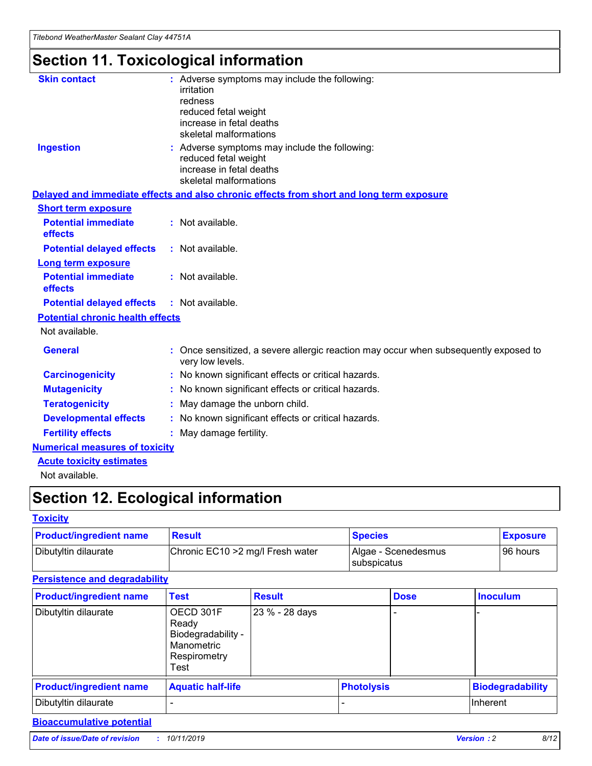## **Section 11. Toxicological information**

| <b>Skin contact</b>                     | : Adverse symptoms may include the following:<br>irritation<br>redness<br>reduced fetal weight<br>increase in fetal deaths<br>skeletal malformations |
|-----------------------------------------|------------------------------------------------------------------------------------------------------------------------------------------------------|
| <b>Ingestion</b>                        | : Adverse symptoms may include the following:<br>reduced fetal weight<br>increase in fetal deaths<br>skeletal malformations                          |
|                                         | Delayed and immediate effects and also chronic effects from short and long term exposure                                                             |
| <b>Short term exposure</b>              |                                                                                                                                                      |
| <b>Potential immediate</b><br>effects   | : Not available.                                                                                                                                     |
| <b>Potential delayed effects</b>        | : Not available.                                                                                                                                     |
| <b>Long term exposure</b>               |                                                                                                                                                      |
| <b>Potential immediate</b><br>effects   | : Not available.                                                                                                                                     |
| <b>Potential delayed effects</b>        | : Not available.                                                                                                                                     |
| <b>Potential chronic health effects</b> |                                                                                                                                                      |
| Not available.                          |                                                                                                                                                      |
| <b>General</b>                          | : Once sensitized, a severe allergic reaction may occur when subsequently exposed to<br>very low levels.                                             |
| <b>Carcinogenicity</b>                  | : No known significant effects or critical hazards.                                                                                                  |
| <b>Mutagenicity</b>                     | No known significant effects or critical hazards.                                                                                                    |
| <b>Teratogenicity</b>                   | May damage the unborn child.                                                                                                                         |
| <b>Developmental effects</b>            | No known significant effects or critical hazards.                                                                                                    |
| <b>Fertility effects</b>                | : May damage fertility.                                                                                                                              |
| <b>Numerical measures of toxicity</b>   |                                                                                                                                                      |
| <b>Acute toxicity estimates</b>         |                                                                                                                                                      |
|                                         |                                                                                                                                                      |

Not available.

## **Section 12. Ecological information**

#### **Toxicity**

| <b>Product/ingredient name</b> | <b>Result</b>                     | <b>Species</b>                       | <b>Exposure</b> |
|--------------------------------|-----------------------------------|--------------------------------------|-----------------|
| Dibutyltin dilaurate           | Chronic EC10 > 2 mg/l Fresh water | Algae - Scenedesmus<br>I subspicatus | l 96 hours i    |

#### **Persistence and degradability**

| <b>Product/ingredient name</b> | Test                                                                           | <b>Result</b>  |                   | <b>Dose</b> | <b>Inoculum</b>         |
|--------------------------------|--------------------------------------------------------------------------------|----------------|-------------------|-------------|-------------------------|
| Dibutyltin dilaurate           | OECD 301F<br>Ready<br>Biodegradability -<br>Manometric<br>Respirometry<br>Test | 23 % - 28 days |                   |             |                         |
| <b>Product/ingredient name</b> | <b>Aquatic half-life</b>                                                       |                | <b>Photolysis</b> |             | <b>Biodegradability</b> |
| Dibutyltin dilaurate           |                                                                                |                |                   |             | Inherent                |

### **Bioaccumulative potential**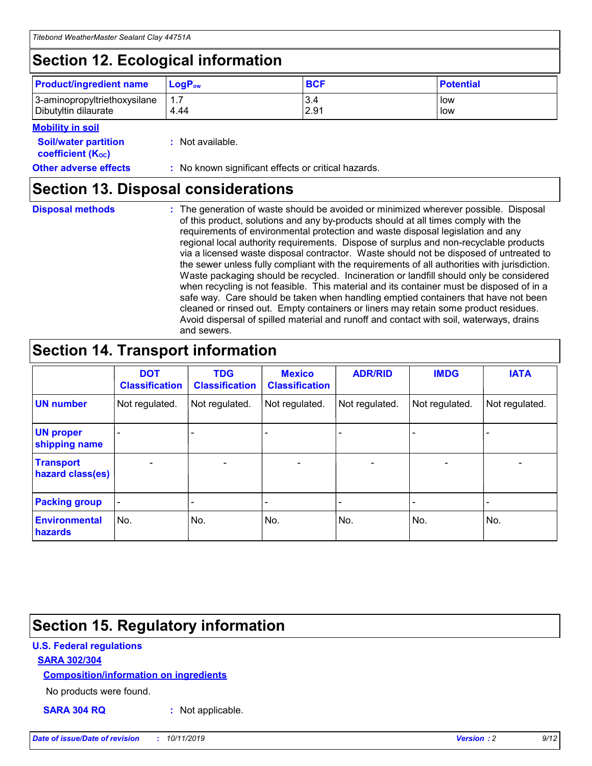## **Section 12. Ecological information**

| <b>Product/ingredient name</b>                       | ∣LoqP <sub>ow</sub> | <b>BCF</b>  | <b>Potential</b> |
|------------------------------------------------------|---------------------|-------------|------------------|
| 3-aminopropyltriethoxysilane<br>Dibutyltin dilaurate | 4.44                | 3.4<br>2.91 | low<br>low       |

#### **Mobility in soil**

| <i></i>                                                       |                                                     |
|---------------------------------------------------------------|-----------------------------------------------------|
| <b>Soil/water partition</b><br>coefficient (K <sub>oc</sub> ) | : Not available.                                    |
| <b>Other adverse effects</b>                                  | : No known significant effects or critical hazards. |

### **Section 13. Disposal considerations**

**Disposal methods :**

The generation of waste should be avoided or minimized wherever possible. Disposal of this product, solutions and any by-products should at all times comply with the requirements of environmental protection and waste disposal legislation and any regional local authority requirements. Dispose of surplus and non-recyclable products via a licensed waste disposal contractor. Waste should not be disposed of untreated to the sewer unless fully compliant with the requirements of all authorities with jurisdiction. Waste packaging should be recycled. Incineration or landfill should only be considered when recycling is not feasible. This material and its container must be disposed of in a safe way. Care should be taken when handling emptied containers that have not been cleaned or rinsed out. Empty containers or liners may retain some product residues. Avoid dispersal of spilled material and runoff and contact with soil, waterways, drains and sewers.

## **Section 14. Transport information**

|                                      | <b>DOT</b><br><b>Classification</b> | <b>TDG</b><br><b>Classification</b> | <b>Mexico</b><br><b>Classification</b> | <b>ADR/RID</b>           | <b>IMDG</b>              | <b>IATA</b>              |
|--------------------------------------|-------------------------------------|-------------------------------------|----------------------------------------|--------------------------|--------------------------|--------------------------|
| <b>UN number</b>                     | Not regulated.                      | Not regulated.                      | Not regulated.                         | Not regulated.           | Not regulated.           | Not regulated.           |
| <b>UN proper</b><br>shipping name    | $\qquad \qquad \blacksquare$        |                                     |                                        |                          |                          |                          |
| <b>Transport</b><br>hazard class(es) | $\blacksquare$                      | $\blacksquare$                      | $\blacksquare$                         | $\overline{\phantom{a}}$ | $\blacksquare$           | $\blacksquare$           |
| <b>Packing group</b>                 | $\overline{\phantom{a}}$            | $\overline{\phantom{0}}$            | $\qquad \qquad \blacksquare$           | -                        | $\overline{\phantom{0}}$ | $\overline{\phantom{a}}$ |
| <b>Environmental</b><br>hazards      | No.                                 | No.                                 | No.                                    | No.                      | No.                      | No.                      |

## **Section 15. Regulatory information**

#### **U.S. Federal regulations**

#### **SARA 302/304**

#### **Composition/information on ingredients**

No products were found.

**SARA 304 RQ :** Not applicable.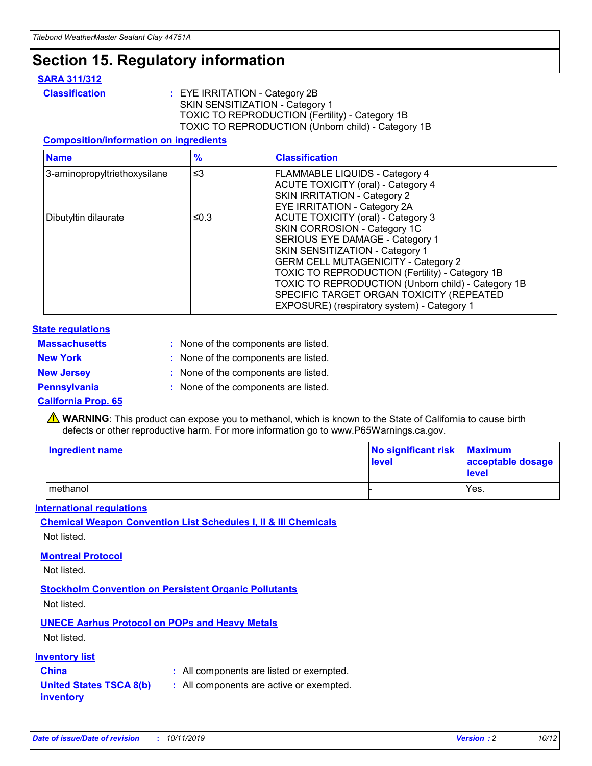### **Section 15. Regulatory information**

#### **SARA 311/312**

**Classification :** EYE IRRITATION - Category 2B SKIN SENSITIZATION - Category 1 TOXIC TO REPRODUCTION (Fertility) - Category 1B TOXIC TO REPRODUCTION (Unborn child) - Category 1B

#### **Composition/information on ingredients**

| <b>Name</b>                  | $\frac{9}{6}$ | <b>Classification</b>                                                                                            |
|------------------------------|---------------|------------------------------------------------------------------------------------------------------------------|
| 3-aminopropyltriethoxysilane | $\leq$ 3      | <b>FLAMMABLE LIQUIDS - Category 4</b><br><b>ACUTE TOXICITY (oral) - Category 4</b>                               |
|                              |               | SKIN IRRITATION - Category 2<br>EYE IRRITATION - Category 2A                                                     |
| Dibutyltin dilaurate         | ≤0.3          | ACUTE TOXICITY (oral) - Category 3<br>SKIN CORROSION - Category 1C                                               |
|                              |               | SERIOUS EYE DAMAGE - Category 1<br>SKIN SENSITIZATION - Category 1<br><b>GERM CELL MUTAGENICITY - Category 2</b> |
|                              |               | TOXIC TO REPRODUCTION (Fertility) - Category 1B<br>TOXIC TO REPRODUCTION (Unborn child) - Category 1B            |
|                              |               | SPECIFIC TARGET ORGAN TOXICITY (REPEATED<br>EXPOSURE) (respiratory system) - Category 1                          |

#### **State regulations**

| <b>Massachusetts</b> | : None of the components are listed. |
|----------------------|--------------------------------------|
| <b>New York</b>      | : None of the components are listed. |
| <b>New Jersey</b>    | : None of the components are listed. |
| <b>Pennsylvania</b>  | : None of the components are listed. |

#### **California Prop. 65**

**A** WARNING: This product can expose you to methanol, which is known to the State of California to cause birth defects or other reproductive harm. For more information go to www.P65Warnings.ca.gov.

| <b>Ingredient name</b> | No significant risk Maximum<br>level | acceptable dosage<br>level |
|------------------------|--------------------------------------|----------------------------|
| methanol               |                                      | Yes.                       |

#### **International regulations**

**Chemical Weapon Convention List Schedules I, II & III Chemicals** Not listed.

#### **Montreal Protocol**

Not listed.

**Stockholm Convention on Persistent Organic Pollutants**

Not listed.

### **UNECE Aarhus Protocol on POPs and Heavy Metals**

Not listed.

#### **Inventory list**

### **China :** All components are listed or exempted.

**United States TSCA 8(b) inventory :** All components are active or exempted.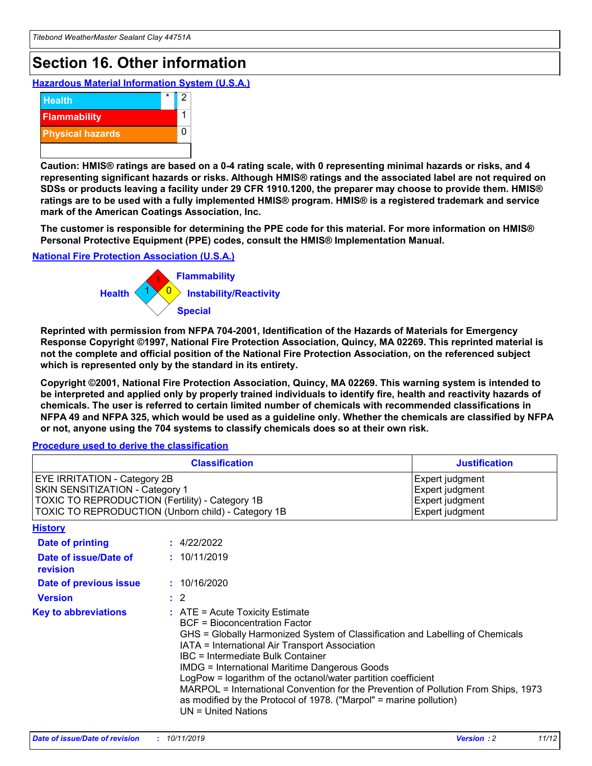## **Section 16. Other information**

**Hazardous Material Information System (U.S.A.)**



**Caution: HMIS® ratings are based on a 0-4 rating scale, with 0 representing minimal hazards or risks, and 4 representing significant hazards or risks. Although HMIS® ratings and the associated label are not required on SDSs or products leaving a facility under 29 CFR 1910.1200, the preparer may choose to provide them. HMIS® ratings are to be used with a fully implemented HMIS® program. HMIS® is a registered trademark and service mark of the American Coatings Association, Inc.**

**The customer is responsible for determining the PPE code for this material. For more information on HMIS® Personal Protective Equipment (PPE) codes, consult the HMIS® Implementation Manual.**

#### **National Fire Protection Association (U.S.A.)**



**Reprinted with permission from NFPA 704-2001, Identification of the Hazards of Materials for Emergency Response Copyright ©1997, National Fire Protection Association, Quincy, MA 02269. This reprinted material is not the complete and official position of the National Fire Protection Association, on the referenced subject which is represented only by the standard in its entirety.**

**Copyright ©2001, National Fire Protection Association, Quincy, MA 02269. This warning system is intended to be interpreted and applied only by properly trained individuals to identify fire, health and reactivity hazards of chemicals. The user is referred to certain limited number of chemicals with recommended classifications in NFPA 49 and NFPA 325, which would be used as a guideline only. Whether the chemicals are classified by NFPA or not, anyone using the 704 systems to classify chemicals does so at their own risk.**

#### **Procedure used to derive the classification**

| <b>Classification</b>                                                                                                                                                    |                                                                                                                                                                                                                                                                                                                                                                                                                                                                                                                                                               | <b>Justification</b>                                                     |
|--------------------------------------------------------------------------------------------------------------------------------------------------------------------------|---------------------------------------------------------------------------------------------------------------------------------------------------------------------------------------------------------------------------------------------------------------------------------------------------------------------------------------------------------------------------------------------------------------------------------------------------------------------------------------------------------------------------------------------------------------|--------------------------------------------------------------------------|
| EYE IRRITATION - Category 2B<br>SKIN SENSITIZATION - Category 1<br>TOXIC TO REPRODUCTION (Fertility) - Category 1B<br>TOXIC TO REPRODUCTION (Unborn child) - Category 1B |                                                                                                                                                                                                                                                                                                                                                                                                                                                                                                                                                               | Expert judgment<br>Expert judgment<br>Expert judgment<br>Expert judgment |
| <b>History</b>                                                                                                                                                           |                                                                                                                                                                                                                                                                                                                                                                                                                                                                                                                                                               |                                                                          |
| <b>Date of printing</b>                                                                                                                                                  | : 4/22/2022                                                                                                                                                                                                                                                                                                                                                                                                                                                                                                                                                   |                                                                          |
| Date of issue/Date of<br>revision                                                                                                                                        | : 10/11/2019                                                                                                                                                                                                                                                                                                                                                                                                                                                                                                                                                  |                                                                          |
| Date of previous issue                                                                                                                                                   | : 10/16/2020                                                                                                                                                                                                                                                                                                                                                                                                                                                                                                                                                  |                                                                          |
| <b>Version</b>                                                                                                                                                           | $\therefore$ 2                                                                                                                                                                                                                                                                                                                                                                                                                                                                                                                                                |                                                                          |
| <b>Key to abbreviations</b>                                                                                                                                              | $:$ ATE = Acute Toxicity Estimate<br><b>BCF</b> = Bioconcentration Factor<br>GHS = Globally Harmonized System of Classification and Labelling of Chemicals<br>IATA = International Air Transport Association<br>IBC = Intermediate Bulk Container<br><b>IMDG = International Maritime Dangerous Goods</b><br>LogPow = logarithm of the octanol/water partition coefficient<br>MARPOL = International Convention for the Prevention of Pollution From Ships, 1973<br>as modified by the Protocol of 1978. ("Marpol" = marine pollution)<br>UN = United Nations |                                                                          |